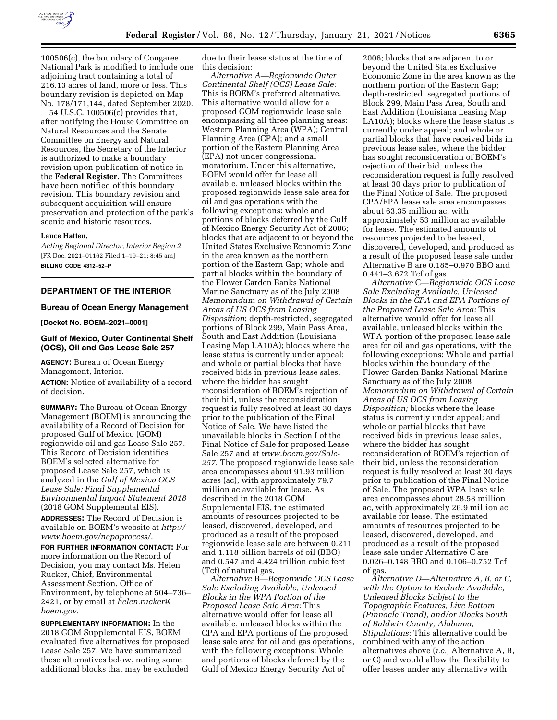

100506(c), the boundary of Congaree National Park is modified to include one adjoining tract containing a total of 216.13 acres of land, more or less. This boundary revision is depicted on Map No. 178/171,144, dated September 2020.

54 U.S.C. 100506(c) provides that, after notifying the House Committee on Natural Resources and the Senate Committee on Energy and Natural Resources, the Secretary of the Interior is authorized to make a boundary revision upon publication of notice in the **Federal Register**. The Committees have been notified of this boundary revision. This boundary revision and subsequent acquisition will ensure preservation and protection of the park's scenic and historic resources.

#### **Lance Hatten,**

*Acting Regional Director, Interior Region 2.*  [FR Doc. 2021–01162 Filed 1–19–21; 8:45 am] **BILLING CODE 4312–52–P** 

# **DEPARTMENT OF THE INTERIOR**

#### **Bureau of Ocean Energy Management**

**[Docket No. BOEM–2021–0001]** 

## **Gulf of Mexico, Outer Continental Shelf (OCS), Oil and Gas Lease Sale 257**

**AGENCY:** Bureau of Ocean Energy Management, Interior.

**ACTION:** Notice of availability of a record of decision.

**SUMMARY:** The Bureau of Ocean Energy Management (BOEM) is announcing the availability of a Record of Decision for proposed Gulf of Mexico (GOM) regionwide oil and gas Lease Sale 257. This Record of Decision identifies BOEM's selected alternative for proposed Lease Sale 257, which is analyzed in the *Gulf of Mexico OCS Lease Sale: Final Supplemental Environmental Impact Statement 2018*  (2018 GOM Supplemental EIS).

**ADDRESSES:** The Record of Decision is available on BOEM's website at *[http://](http://www.boem.gov/nepaprocess/)  [www.boem.gov/nepaprocess/.](http://www.boem.gov/nepaprocess/)* 

**FOR FURTHER INFORMATION CONTACT:** For more information on the Record of Decision, you may contact Ms. Helen Rucker, Chief, Environmental Assessment Section, Office of Environment, by telephone at 504–736– 2421, or by email at *[helen.rucker@](mailto:helen.rucker@boem.gov) [boem.gov.](mailto:helen.rucker@boem.gov)* 

**SUPPLEMENTARY INFORMATION:** In the 2018 GOM Supplemental EIS, BOEM evaluated five alternatives for proposed Lease Sale 257. We have summarized these alternatives below, noting some additional blocks that may be excluded

due to their lease status at the time of this decision:

*Alternative A—Regionwide Outer Continental Shelf (OCS) Lease Sale:*  This is BOEM's preferred alternative. This alternative would allow for a proposed GOM regionwide lease sale encompassing all three planning areas: Western Planning Area (WPA); Central Planning Area (CPA); and a small portion of the Eastern Planning Area (EPA) not under congressional moratorium. Under this alternative, BOEM would offer for lease all available, unleased blocks within the proposed regionwide lease sale area for oil and gas operations with the following exceptions: whole and portions of blocks deferred by the Gulf of Mexico Energy Security Act of 2006; blocks that are adjacent to or beyond the United States Exclusive Economic Zone in the area known as the northern portion of the Eastern Gap; whole and partial blocks within the boundary of the Flower Garden Banks National Marine Sanctuary as of the July 2008 *Memorandum on Withdrawal of Certain Areas of US OCS from Leasing Disposition*; depth-restricted, segregated portions of Block 299, Main Pass Area, South and East Addition (Louisiana Leasing Map LA10A); blocks where the lease status is currently under appeal; and whole or partial blocks that have received bids in previous lease sales, where the bidder has sought reconsideration of BOEM's rejection of their bid, unless the reconsideration request is fully resolved at least 30 days prior to the publication of the Final Notice of Sale. We have listed the unavailable blocks in Section I of the Final Notice of Sale for proposed Lease Sale 257 and at *[www.boem.gov/Sale-](http://www.boem.gov/Sale-257)[257](http://www.boem.gov/Sale-257)*. The proposed regionwide lease sale area encompasses about 91.93 million acres (ac), with approximately 79.7 million ac available for lease. As described in the 2018 GOM Supplemental EIS, the estimated amounts of resources projected to be leased, discovered, developed, and produced as a result of the proposed regionwide lease sale are between 0.211 and 1.118 billion barrels of oil (BBO) and 0.547 and 4.424 trillion cubic feet (Tcf) of natural gas.

*Alternative* B—*Regionwide OCS Lease Sale Excluding Available, Unleased Blocks in the WPA Portion of the Proposed Lease Sale Area:* This alternative would offer for lease all available, unleased blocks within the CPA and EPA portions of the proposed lease sale area for oil and gas operations, with the following exceptions: Whole and portions of blocks deferred by the Gulf of Mexico Energy Security Act of

2006; blocks that are adjacent to or beyond the United States Exclusive Economic Zone in the area known as the northern portion of the Eastern Gap; depth-restricted, segregated portions of Block 299, Main Pass Area, South and East Addition (Louisiana Leasing Map LA10A); blocks where the lease status is currently under appeal; and whole or partial blocks that have received bids in previous lease sales, where the bidder has sought reconsideration of BOEM's rejection of their bid, unless the reconsideration request is fully resolved at least 30 days prior to publication of the Final Notice of Sale. The proposed CPA/EPA lease sale area encompasses about 63.35 million ac, with approximately 53 million ac available for lease. The estimated amounts of resources projected to be leased, discovered, developed, and produced as a result of the proposed lease sale under Alternative B are 0.185–0.970 BBO and 0.441–3.672 Tcf of gas.

*Alternative* C—*Regionwide OCS Lease Sale Excluding Available, Unleased Blocks in the CPA and EPA Portions of the Proposed Lease Sale Area:* This alternative would offer for lease all available, unleased blocks within the WPA portion of the proposed lease sale area for oil and gas operations, with the following exceptions: Whole and partial blocks within the boundary of the Flower Garden Banks National Marine Sanctuary as of the July 2008 *Memorandum on Withdrawal of Certain Areas of US OCS from Leasing Disposition;* blocks where the lease status is currently under appeal; and whole or partial blocks that have received bids in previous lease sales, where the bidder has sought reconsideration of BOEM's rejection of their bid, unless the reconsideration request is fully resolved at least 30 days prior to publication of the Final Notice of Sale. The proposed WPA lease sale area encompasses about 28.58 million ac, with approximately 26.9 million ac available for lease. The estimated amounts of resources projected to be leased, discovered, developed, and produced as a result of the proposed lease sale under Alternative C are 0.026–0.148 BBO and 0.106–0.752 Tcf of gas.

*Alternative D—Alternative A, B, or C, with the Option to Exclude Available, Unleased Blocks Subject to the Topographic Features, Live Bottom (Pinnacle Trend), and/or Blocks South of Baldwin County, Alabama, Stipulations:* This alternative could be combined with any of the action alternatives above (*i.e.,* Alternative A, B, or C) and would allow the flexibility to offer leases under any alternative with